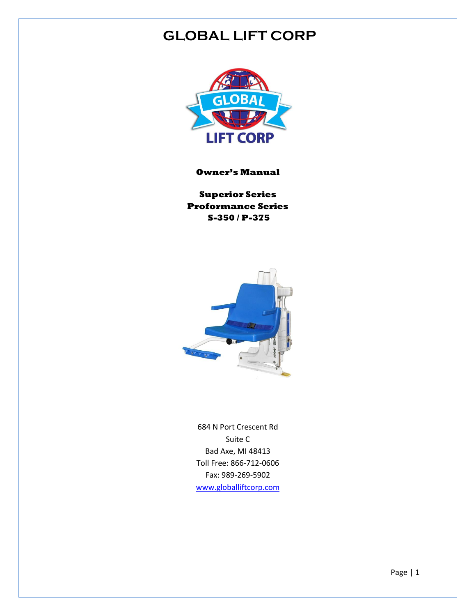### **GLOBAL LIFT CORP**



**Owner's Manual**

**Superior Series Proformance Series S-350 / P-375**



684 N Port Crescent Rd Suite C Bad Axe, MI 48413 Toll Free: 866-712-0606 Fax: 989-269-5902 [www.globalliftcorp.com](http://www.globalliftcorp.com/)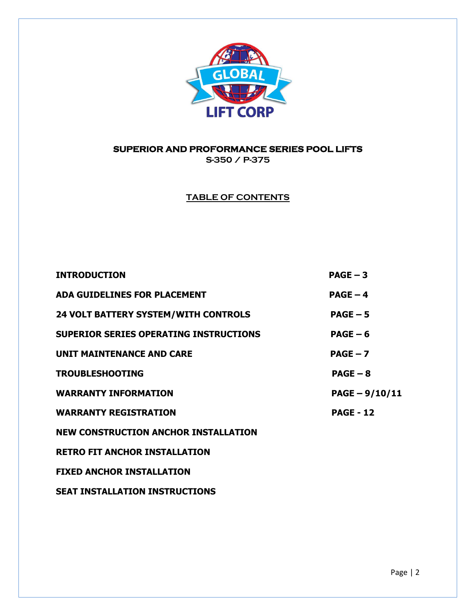

#### **SUPERIOR AND PROFORMANCE SERIES POOL LIFTS**

**S-350 / P-375**

**TABLE OF CONTENTS**

| <b>INTRODUCTION</b>                         | $PAGE - 3$       |
|---------------------------------------------|------------------|
| <b>ADA GUIDELINES FOR PLACEMENT</b>         | $PAGE - 4$       |
| <b>24 VOLT BATTERY SYSTEM/WITH CONTROLS</b> | $PAGE - 5$       |
| SUPERIOR SERIES OPERATING INSTRUCTIONS      | $PAGE - 6$       |
| <b>UNIT MAINTENANCE AND CARE</b>            | $PAGE - 7$       |
| <b>TROUBLESHOOTING</b>                      | $PAGE - 8$       |
| <b>WARRANTY INFORMATION</b>                 | $PAGE - 9/10/11$ |
| <b>WARRANTY REGISTRATION</b>                | <b>PAGE - 12</b> |
| <b>NEW CONSTRUCTION ANCHOR INSTALLATION</b> |                  |
| <b>RETRO FIT ANCHOR INSTALLATION</b>        |                  |
| <b>FIXED ANCHOR INSTALLATION</b>            |                  |
|                                             |                  |

**SEAT INSTALLATION INSTRUCTIONS**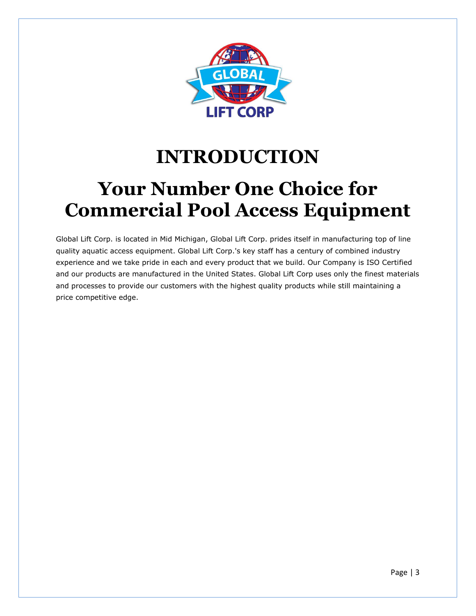

## **INTRODUCTION**

## **Your Number One Choice for Commercial Pool Access Equipment**

Global Lift Corp. is located in Mid Michigan, Global Lift Corp. prides itself in manufacturing top of line quality aquatic access equipment. Global Lift Corp.'s key staff has a century of combined industry experience and we take pride in each and every product that we build. Our Company is ISO Certified and our products are manufactured in the United States. Global Lift Corp uses only the finest materials and processes to provide our customers with the highest quality products while still maintaining a price competitive edge.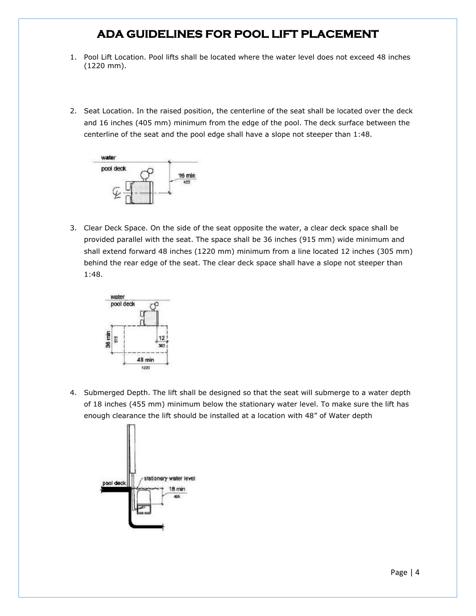#### **ADA GUIDELINES FOR POOL LIFT PLACEMENT**

- 1. Pool Lift Location. Pool lifts shall be located where the water level does not exceed 48 inches (1220 mm).
- 2. Seat Location. In the raised position, the centerline of the seat shall be located over the deck and 16 inches (405 mm) minimum from the edge of the pool. The deck surface between the centerline of the seat and the pool edge shall have a slope not steeper than 1:48.



3. Clear Deck Space. On the side of the seat opposite the water, a clear deck space shall be provided parallel with the seat. The space shall be 36 inches (915 mm) wide minimum and shall extend forward 48 inches (1220 mm) minimum from a line located 12 inches (305 mm) behind the rear edge of the seat. The clear deck space shall have a slope not steeper than 1:48.



4. Submerged Depth. The lift shall be designed so that the seat will submerge to a water depth of 18 inches (455 mm) minimum below the stationary water level. To make sure the lift has enough clearance the lift should be installed at a location with 48" of Water depth

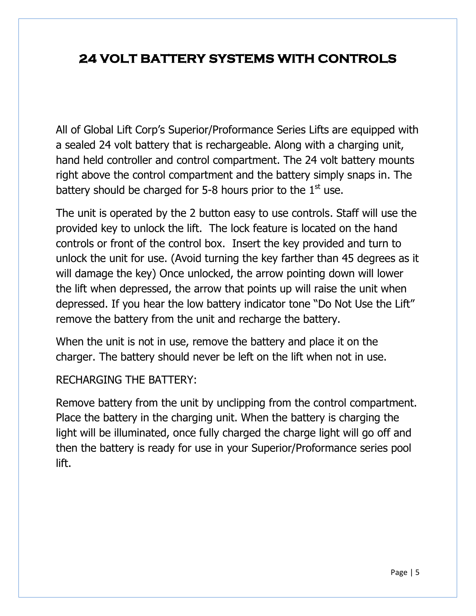### **24 VOLT BATTERY SYSTEMS WITH CONTROLS**

All of Global Lift Corp's Superior/Proformance Series Lifts are equipped with a sealed 24 volt battery that is rechargeable. Along with a charging unit, hand held controller and control compartment. The 24 volt battery mounts right above the control compartment and the battery simply snaps in. The battery should be charged for 5-8 hours prior to the  $1<sup>st</sup>$  use.

The unit is operated by the 2 button easy to use controls. Staff will use the provided key to unlock the lift. The lock feature is located on the hand controls or front of the control box. Insert the key provided and turn to unlock the unit for use. (Avoid turning the key farther than 45 degrees as it will damage the key) Once unlocked, the arrow pointing down will lower the lift when depressed, the arrow that points up will raise the unit when depressed. If you hear the low battery indicator tone "Do Not Use the Lift" remove the battery from the unit and recharge the battery.

When the unit is not in use, remove the battery and place it on the charger. The battery should never be left on the lift when not in use.

RECHARGING THE BATTERY:

Remove battery from the unit by unclipping from the control compartment. Place the battery in the charging unit. When the battery is charging the light will be illuminated, once fully charged the charge light will go off and then the battery is ready for use in your Superior/Proformance series pool lift.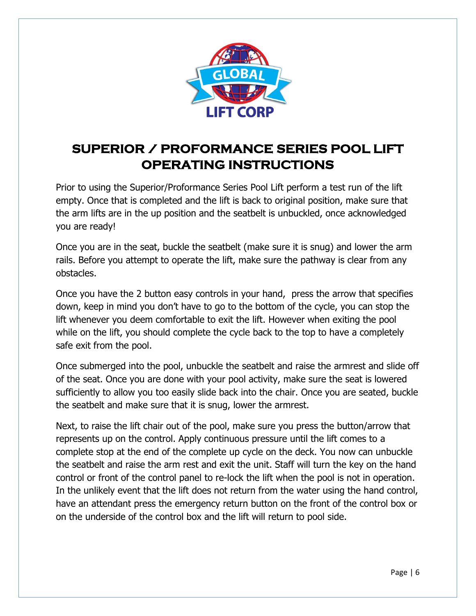

## **SUPERIOR / PROFORMANCE SERIES POOL LIFT OPERATING INSTRUCTIONS**

Prior to using the Superior/Proformance Series Pool Lift perform a test run of the lift empty. Once that is completed and the lift is back to original position, make sure that the arm lifts are in the up position and the seatbelt is unbuckled, once acknowledged you are ready!

Once you are in the seat, buckle the seatbelt (make sure it is snug) and lower the arm rails. Before you attempt to operate the lift, make sure the pathway is clear from any obstacles.

Once you have the 2 button easy controls in your hand, press the arrow that specifies down, keep in mind you don't have to go to the bottom of the cycle, you can stop the lift whenever you deem comfortable to exit the lift. However when exiting the pool while on the lift, you should complete the cycle back to the top to have a completely safe exit from the pool.

Once submerged into the pool, unbuckle the seatbelt and raise the armrest and slide off of the seat. Once you are done with your pool activity, make sure the seat is lowered sufficiently to allow you too easily slide back into the chair. Once you are seated, buckle the seatbelt and make sure that it is snug, lower the armrest.

Next, to raise the lift chair out of the pool, make sure you press the button/arrow that represents up on the control. Apply continuous pressure until the lift comes to a complete stop at the end of the complete up cycle on the deck. You now can unbuckle the seatbelt and raise the arm rest and exit the unit. Staff will turn the key on the hand control or front of the control panel to re-lock the lift when the pool is not in operation. In the unlikely event that the lift does not return from the water using the hand control, have an attendant press the emergency return button on the front of the control box or on the underside of the control box and the lift will return to pool side.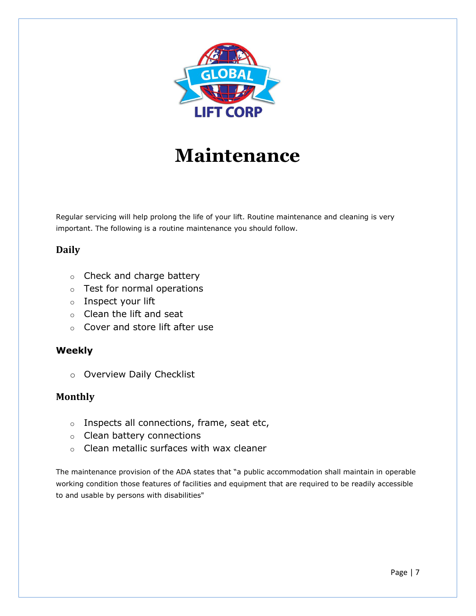

# **Maintenance**

Regular servicing will help prolong the life of your lift. Routine maintenance and cleaning is very important. The following is a routine maintenance you should follow.

#### **Daily**

- o Check and charge battery
- o Test for normal operations
- o Inspect your lift
- o Clean the lift and seat
- o Cover and store lift after use

#### **Weekly**

o Overview Daily Checklist

#### **Monthly**

- $\circ$  Inspects all connections, frame, seat etc,
- o Clean battery connections
- o Clean metallic surfaces with wax cleaner

The maintenance provision of the ADA states that "a public accommodation shall maintain in operable working condition those features of facilities and equipment that are required to be readily accessible to and usable by persons with disabilities"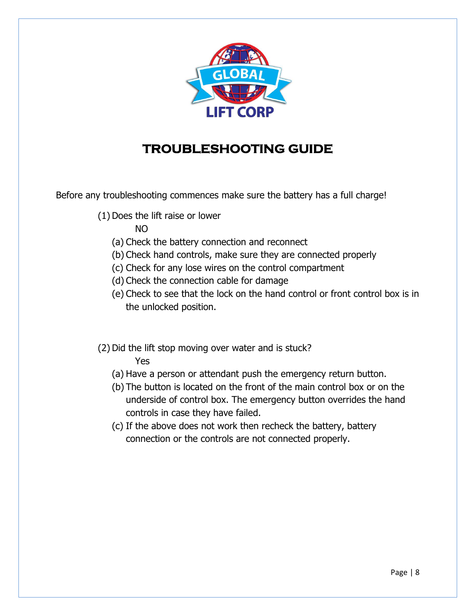

### **TROUBLESHOOTING GUIDE**

Before any troubleshooting commences make sure the battery has a full charge!

- (1) Does the lift raise or lower
	- NO
	- (a) Check the battery connection and reconnect
	- (b) Check hand controls, make sure they are connected properly
	- (c) Check for any lose wires on the control compartment
	- (d) Check the connection cable for damage
	- (e) Check to see that the lock on the hand control or front control box is in the unlocked position.
- (2) Did the lift stop moving over water and is stuck? Yes
	- (a) Have a person or attendant push the emergency return button.
	- (b) The button is located on the front of the main control box or on the underside of control box. The emergency button overrides the hand controls in case they have failed.
	- (c) If the above does not work then recheck the battery, battery connection or the controls are not connected properly.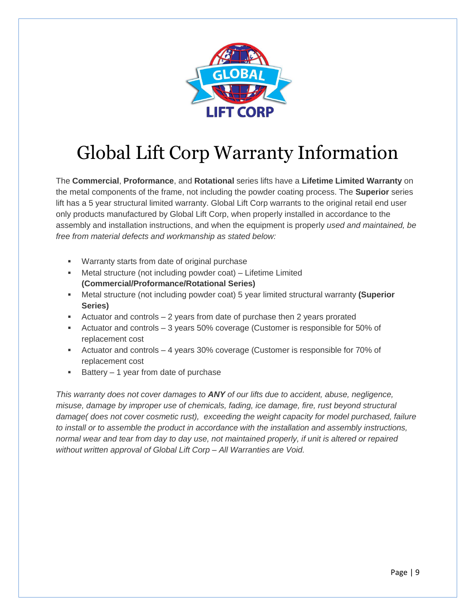

# Global Lift Corp Warranty Information

The **Commercial**, **Proformance**, and **Rotational** series lifts have a **Lifetime Limited Warranty** on the metal components of the frame, not including the powder coating process. The **Superior** series lift has a 5 year structural limited warranty. Global Lift Corp warrants to the original retail end user only products manufactured by Global Lift Corp, when properly installed in accordance to the assembly and installation instructions, and when the equipment is properly *used and maintained, be free from material defects and workmanship as stated below:*

- Warranty starts from date of original purchase
- Metal structure (not including powder coat) Lifetime Limited **(Commercial/Proformance/Rotational Series)**
- Metal structure (not including powder coat) 5 year limited structural warranty **(Superior Series)**
- Actuator and controls 2 years from date of purchase then 2 years prorated
- Actuator and controls 3 years 50% coverage (Customer is responsible for 50% of replacement cost
- Actuator and controls 4 years 30% coverage (Customer is responsible for 70% of replacement cost
- $\blacksquare$  Battery 1 year from date of purchase

*This warranty does not cover damages to ANY of our lifts due to accident, abuse, negligence, misuse, damage by improper use of chemicals, fading, ice damage, fire, rust beyond structural damage( does not cover cosmetic rust), exceeding the weight capacity for model purchased, failure to install or to assemble the product in accordance with the installation and assembly instructions, normal wear and tear from day to day use, not maintained properly, if unit is altered or repaired without written approval of Global Lift Corp – All Warranties are Void.*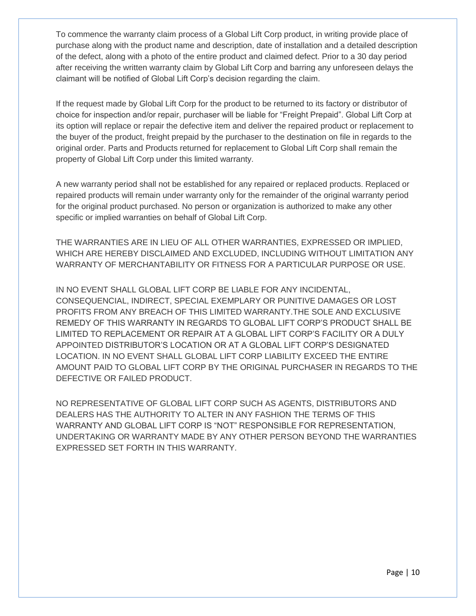To commence the warranty claim process of a Global Lift Corp product, in writing provide place of purchase along with the product name and description, date of installation and a detailed description of the defect, along with a photo of the entire product and claimed defect. Prior to a 30 day period after receiving the written warranty claim by Global Lift Corp and barring any unforeseen delays the claimant will be notified of Global Lift Corp's decision regarding the claim.

If the request made by Global Lift Corp for the product to be returned to its factory or distributor of choice for inspection and/or repair, purchaser will be liable for "Freight Prepaid". Global Lift Corp at its option will replace or repair the defective item and deliver the repaired product or replacement to the buyer of the product, freight prepaid by the purchaser to the destination on file in regards to the original order. Parts and Products returned for replacement to Global Lift Corp shall remain the property of Global Lift Corp under this limited warranty.

A new warranty period shall not be established for any repaired or replaced products. Replaced or repaired products will remain under warranty only for the remainder of the original warranty period for the original product purchased. No person or organization is authorized to make any other specific or implied warranties on behalf of Global Lift Corp.

THE WARRANTIES ARE IN LIEU OF ALL OTHER WARRANTIES, EXPRESSED OR IMPLIED, WHICH ARE HEREBY DISCLAIMED AND EXCLUDED, INCLUDING WITHOUT LIMITATION ANY WARRANTY OF MERCHANTABILITY OR FITNESS FOR A PARTICULAR PURPOSE OR USE.

IN NO EVENT SHALL GLOBAL LIFT CORP BE LIABLE FOR ANY INCIDENTAL, CONSEQUENCIAL, INDIRECT, SPECIAL EXEMPLARY OR PUNITIVE DAMAGES OR LOST PROFITS FROM ANY BREACH OF THIS LIMITED WARRANTY.THE SOLE AND EXCLUSIVE REMEDY OF THIS WARRANTY IN REGARDS TO GLOBAL LIFT CORP'S PRODUCT SHALL BE LIMITED TO REPLACEMENT OR REPAIR AT A GLOBAL LIFT CORP'S FACILITY OR A DULY APPOINTED DISTRIBUTOR'S LOCATION OR AT A GLOBAL LIFT CORP'S DESIGNATED LOCATION. IN NO EVENT SHALL GLOBAL LIFT CORP LIABILITY EXCEED THE ENTIRE AMOUNT PAID TO GLOBAL LIFT CORP BY THE ORIGINAL PURCHASER IN REGARDS TO THE DEFECTIVE OR FAILED PRODUCT.

NO REPRESENTATIVE OF GLOBAL LIFT CORP SUCH AS AGENTS, DISTRIBUTORS AND DEALERS HAS THE AUTHORITY TO ALTER IN ANY FASHION THE TERMS OF THIS WARRANTY AND GLOBAL LIFT CORP IS "NOT" RESPONSIBLE FOR REPRESENTATION, UNDERTAKING OR WARRANTY MADE BY ANY OTHER PERSON BEYOND THE WARRANTIES EXPRESSED SET FORTH IN THIS WARRANTY.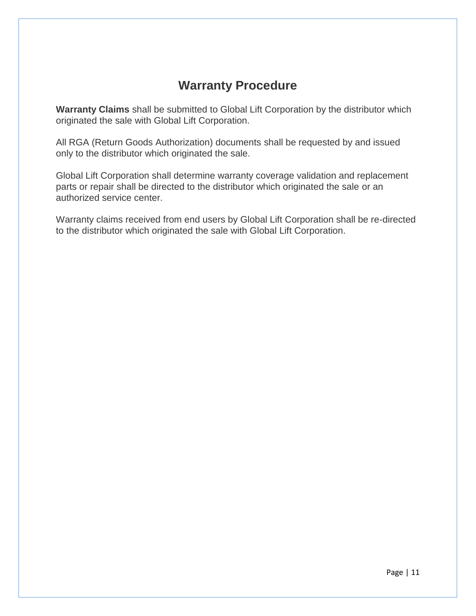### **Warranty Procedure**

**Warranty Claims** shall be submitted to Global Lift Corporation by the distributor which originated the sale with Global Lift Corporation.

All RGA (Return Goods Authorization) documents shall be requested by and issued only to the distributor which originated the sale.

Global Lift Corporation shall determine warranty coverage validation and replacement parts or repair shall be directed to the distributor which originated the sale or an authorized service center.

Warranty claims received from end users by Global Lift Corporation shall be re-directed to the distributor which originated the sale with Global Lift Corporation.